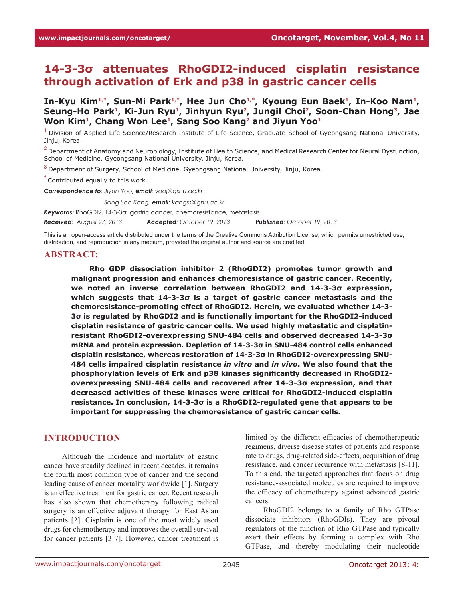# **14-3-3σ attenuates RhoGDI2-induced cisplatin resistance through activation of Erk and p38 in gastric cancer cells**

**In-Kyu Kim1,\*, Sun-Mi Park1,\*, Hee Jun Cho1,\*, Kyoung Eun Baek<sup>1</sup>, In-Koo Nam1, Seung-Ho Park<sup>1</sup>, Ki-Jun Ryu<sup>1</sup>, Jinhyun Ryu2, Jungil Choi2, Soon-Chan Hong3, Jae Won Kim<sup>1</sup>, Chang Won Lee<sup>1</sup>, Sang Soo Kang2 and Jiyun Yoo<sup>1</sup>**

<sup>1</sup> Division of Applied Life Science/Research Institute of Life Science, Graduate School of Gyeongsang National University, Jinju, Korea.

**<sup>2</sup>**Department of Anatomy and Neurobiology, Institute of Health Science, and Medical Research Center for Neural Dysfunction, School of Medicine, Gyeongsang National University, Jinju, Korea.

**<sup>3</sup>**Department of Surgery, School of Medicine, Gyeongsang National University, Jinju, Korea.

**\*** Contributed equally to this work.

*Correspondence to: Jiyun Yoo, email: yooj@gsnu.ac.kr*

*Correspondence to: Sang Soo Kang, email: kangss@gnu.ac.kr*

*Keywords*: RhoGDI2, 14-3-3σ, gastric cancer, chemoresistance, metastasis

*Received: August 27, 2013 Accepted: October 19, 2013 Published: October 19, 2013*

This is an open-access article distributed under the terms of the Creative Commons Attribution License, which permits unrestricted use, distribution, and reproduction in any medium, provided the original author and source are credited.

#### **ABSTRACT:**

**Rho GDP dissociation inhibitor 2 (RhoGDI2) promotes tumor growth and malignant progression and enhances chemoresistance of gastric cancer. Recently, we noted an inverse correlation between RhoGDI2 and 14-3-3σ expression, which suggests that 14-3-3σ is a target of gastric cancer metastasis and the chemoresistance-promoting effect of RhoGDI2. Herein, we evaluated whether 14-3- 3σ is regulated by RhoGDI2 and is functionally important for the RhoGDI2-induced cisplatin resistance of gastric cancer cells. We used highly metastatic and cisplatinresistant RhoGDI2-overexpressing SNU-484 cells and observed decreased 14-3-3σ mRNA and protein expression. Depletion of 14-3-3σ in SNU-484 control cells enhanced cisplatin resistance, whereas restoration of 14-3-3σ in RhoGDI2-overexpressing SNU-484 cells impaired cisplatin resistance** *in vitro* **and** *in vivo***. We also found that the phosphorylation levels of Erk and p38 kinases significantly decreased in RhoGDI2 overexpressing SNU-484 cells and recovered after 14-3-3σ expression, and that decreased activities of these kinases were critical for RhoGDI2-induced cisplatin resistance. In conclusion, 14-3-3σ is a RhoGDI2-regulated gene that appears to be important for suppressing the chemoresistance of gastric cancer cells.**

#### **INTRODUCTION**

Although the incidence and mortality of gastric cancer have steadily declined in recent decades, it remains the fourth most common type of cancer and the second leading cause of cancer mortality worldwide [1]. Surgery is an effective treatment for gastric cancer. Recent research has also shown that chemotherapy following radical surgery is an effective adjuvant therapy for East Asian patients [2]. Cisplatin is one of the most widely used drugs for chemotherapy and improves the overall survival for cancer patients [3-7]. However, cancer treatment is

limited by the different efficacies of chemotherapeutic regimens, diverse disease states of patients and response rate to drugs, drug-related side-effects, acquisition of drug resistance, and cancer recurrence with metastasis [8-11]. To this end, the targeted approaches that focus on drug resistance-associated molecules are required to improve the efficacy of chemotherapy against advanced gastric cancers.

RhoGDI2 belongs to a family of Rho GTPase dissociate inhibitors (RhoGDIs). They are pivotal regulators of the function of Rho GTPase and typically exert their effects by forming a complex with Rho GTPase, and thereby modulating their nucleotide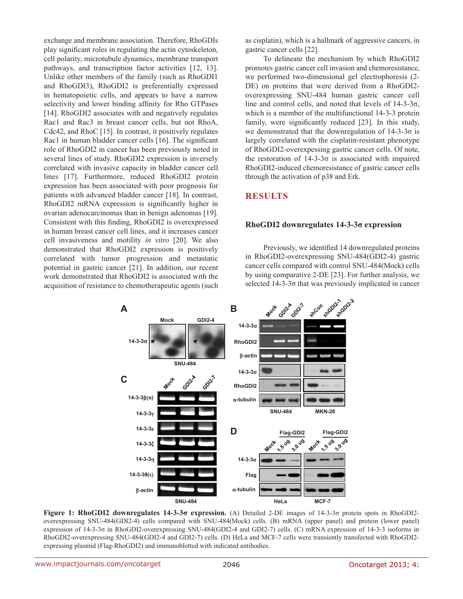exchange and membrane association. Therefore, RhoGDIs play significant roles in regulating the actin cytoskeleton, cell polarity, microtubule dynamics, membrane transport pathways, and transcription factor activities [12, 13]. Unlike other members of the family (such as RhoGDI1 and RhoGDI3), RhoGDI2 is preferentially expressed in hematopoietic cells, and appears to have a narrow selectivity and lower binding affinity for Rho GTPases [14]. RhoGDI2 associates with and negatively regulates Rac1 and Rac3 in breast cancer cells, but not RhoA, Cdc42, and RhoC [15]. In contrast, it positively regulates Rac1 in human bladder cancer cells [16]. The significant role of RhoGDI2 in cancer has been previously noted in several lines of study. RhoGDI2 expression is inversely correlated with invasive capacity in bladder cancer cell lines [17]. Furthermore, reduced RhoGDI2 protein expression has been associated with poor prognosis for patients with advanced bladder cancer [18]. In contrast, RhoGDI2 mRNA expression is significantly higher in ovarian adenocarcinomas than in benign adenomas [19]. Consistent with this finding, RhoGDI2 is overexpressed in human breast cancer cell lines, and it increases cancer cell invasiveness and motility *in vitro* [20]. We also demonstrated that RhoGDI2 expression is positively correlated with tumor progression and metastatic potential in gastric cancer [21]. In addition, our recent work demonstrated that RhoGDI2 is associated with the acquisition of resistance to chemotherapeutic agents (such as cisplatin), which is a hallmark of aggressive cancers, in gastric cancer cells [22].

To delineate the mechanism by which RhoGDI2 promotes gastric cancer cell invasion and chemoresistance, we performed two-dimensional gel electrophoresis (2- DE) on proteins that were derived from a RhoGDI2 overexpressing SNU-484 human gastric cancer cell line and control cells, and noted that levels of 14-3-3σ, which is a member of the multifunctional 14-3-3 protein family, were significantly reduced [23]. In this study, we demonstrated that the downregulation of  $14-3-3\sigma$  is largely correlated with the cisplatin-resistant phenotype of RhoGDI2-overexpessing gastric cancer cells. Of note, the restoration of  $14-3-3\sigma$  is associated with impaired RhoGDI2-induced chemoresistance of gastric cancer cells through the activation of p38 and Erk.

## **RESULTS**

#### **RhoGDI2 downregulates 14-3-3σ expression**

Previously, we identified 14 downregulated proteins in RhoGDI2-overexpressing SNU-484(GDI2-4) gastric cancer cells compared with control SNU-484(Mock) cells by using comparative 2-DE [23]. For further analysis, we selected 14-3-3σ that was previously implicated in cancer



**Figure 1: RhoGDI2 downregulates 14-3-3σ expression.** (A) Detailed 2-DE images of 14-3-3σ protein spots in RhoGDI2 overexpressing SNU-484(GDI2-4) cells compared with SNU-484(Mock) cells. (B) mRNA (upper panel) and protein (lower panel) expression of 14-3-3σ in RhoGDI2-overexpressing SNU-484(GDI2-4 and GDI2-7) cells. (C) mRNA expression of 14-3-3 isoforms in RhoGDI2-overexpressing SNU-484(GDI2-4 and GDI2-7) cells. (D) HeLa and MCF-7 cells were transiently transfected with RhoGDI2 expressing plasmid (Flag-RhoGDI2) and immunoblotted with indicated antibodies.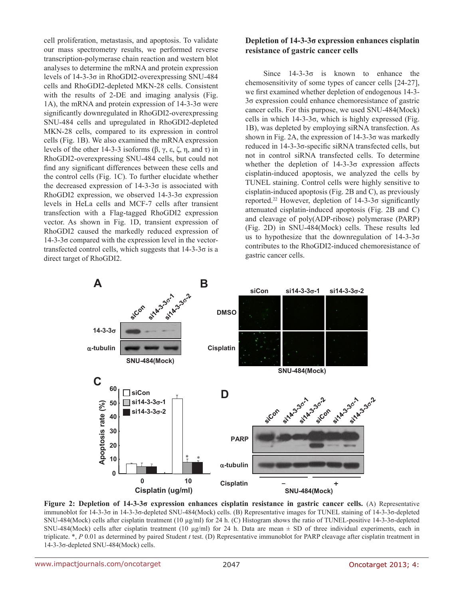cell proliferation, metastasis, and apoptosis. To validate our mass spectrometry results, we performed reverse transcription-polymerase chain reaction and western blot analyses to determine the mRNA and protein expression levels of 14-3-3σ in RhoGDI2-overexpressing SNU-484 cells and RhoGDI2-depleted MKN-28 cells. Consistent with the results of 2-DE and imaging analysis (Fig. 1A), the mRNA and protein expression of 14-3-3σ were significantly downregulated in RhoGDI2-overexpressing SNU-484 cells and upregulated in RhoGDI2-depleted MKN-28 cells, compared to its expression in control cells (Fig. 1B). We also examined the mRNA expression levels of the other 14-3-3 isoforms (β, γ, ε, ζ, η, and τ) in RhoGDI2-overexpressing SNU-484 cells, but could not find any significant differences between these cells and the control cells (Fig. 1C). To further elucidate whether the decreased expression of  $14-3-3\sigma$  is associated with RhoGDI2 expression, we observed 14-3-3σ expression levels in HeLa cells and MCF-7 cells after transient transfection with a Flag-tagged RhoGDI2 expression vector. As shown in Fig. 1D, transient expression of RhoGDI2 caused the markedly reduced expression of  $14-3-3\sigma$  compared with the expression level in the vectortransfected control cells, which suggests that  $14-3-3\sigma$  is a direct target of RhoGDI2.

## **Depletion of 14-3-3σ expression enhances cisplatin resistance of gastric cancer cells**

Since  $14-3-3\sigma$  is known to enhance the chemosensitivity of some types of cancer cells [24-27], we first examined whether depletion of endogenous 14-3- 3σ expression could enhance chemoresistance of gastric cancer cells. For this purpose, we used SNU-484(Mock) cells in which  $14-3-3\sigma$ , which is highly expressed (Fig. 1B), was depleted by employing siRNA transfection. As shown in Fig. 2A, the expression of  $14-3-3\sigma$  was markedly reduced in 14-3-3σ-specific siRNA transfected cells, but not in control siRNA transfected cells. To determine whether the depletion of  $14-3-3\sigma$  expression affects cisplatin-induced apoptosis, we analyzed the cells by TUNEL staining. Control cells were highly sensitive to cisplatin-induced apoptosis (Fig. 2B and C), as previously reported.<sup>22</sup> However, depletion of  $14-3-3\sigma$  significantly attenuated cisplatin-induced apoptosis (Fig. 2B and C) and cleavage of poly(ADP-ribose) polymerase (PARP) (Fig. 2D) in SNU-484(Mock) cells. These results led us to hypothesize that the downregulation of  $14-3-3\sigma$ contributes to the RhoGDI2-induced chemoresistance of gastric cancer cells.



**Figure 2: Depletion of 14-3-3σ expression enhances cisplatin resistance in gastric cancer cells.** (A) Representative immunoblot for 14-3-3σ in 14-3-3σ-depleted SNU-484(Mock) cells. (B) Representative images for TUNEL staining of 14-3-3σ-depleted SNU-484(Mock) cells after cisplatin treatment (10 µg/ml) for 24 h. (C) Histogram shows the ratio of TUNEL-positive 14-3-3σ-depleted SNU-484(Mock) cells after cisplatin treatment (10  $\mu$ g/ml) for 24 h. Data are mean  $\pm$  SD of three individual experiments, each in triplicate. \*, *P* 0.01 as determined by paired Student *t* test. (D) Representative immunoblot for PARP cleavage after cisplatin treatment in 14-3-3σ-depleted SNU-484(Mock) cells.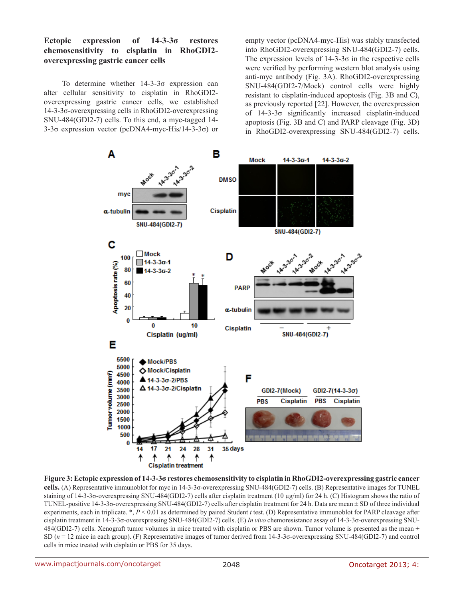## **Ectopic expression of 14-3-3σ restores chemosensitivity to cisplatin in RhoGDI2 overexpressing gastric cancer cells**

To determine whether 14-3-3σ expression can alter cellular sensitivity to cisplatin in RhoGDI2 overexpressing gastric cancer cells, we established 14-3-3σ-overexpressing cells in RhoGDI2-overexpressing SNU-484(GDI2-7) cells. To this end, a myc-tagged 14- 3-3σ expression vector (pcDNA4-myc-His/14-3-3σ) or

empty vector (pcDNA4-myc-His) was stably transfected into RhoGDI2-overexpressing SNU-484(GDI2-7) cells. The expression levels of  $14-3-3\sigma$  in the respective cells were verified by performing western blot analysis using anti-myc antibody (Fig. 3A). RhoGDI2-overexpressing SNU-484(GDI2-7/Mock) control cells were highly resistant to cisplatin-induced apoptosis (Fig. 3B and C), as previously reported [22]. However, the overexpression of 14-3-3σ significantly increased cisplatin-induced apoptosis (Fig. 3B and C) and PARP cleavage (Fig. 3D) in RhoGDI2-overexpressing SNU-484(GDI2-7) cells.



**Figure 3: Ectopic expression of 14-3-3σ restores chemosensitivity to cisplatin in RhoGDI2-overexpressing gastric cancer cells.** (A) Representative immunoblot for myc in 14-3-3σ-overexpressing SNU-484(GDI2-7) cells. (B) Representative images for TUNEL staining of 14-3-3σ-overexpressing SNU-484(GDI2-7) cells after cisplatin treatment (10 µg/ml) for 24 h. (C) Histogram shows the ratio of TUNEL-positive 14-3-3σ-overexpressing SNU-484(GDI2-7) cells after cisplatin treatment for 24 h. Data are mean ± SD of three individual experiments, each in triplicate. \*, *P* < 0.01 as determined by paired Student *t* test. (D) Representative immunoblot for PARP cleavage after cisplatin treatment in 14-3-3σ-overexpressing SNU-484(GDI2-7) cells. (E) *In vivo* chemoresistance assay of 14-3-3σ-overexpressing SNU-484(GDI2-7) cells. Xenograft tumor volumes in mice treated with cisplatin or PBS are shown. Tumor volume is presented as the mean  $\pm$ SD (*n* = 12 mice in each group). (F) Representative images of tumor derived from 14-3-3σ-overexpressing SNU-484(GDI2-7) and control cells in mice treated with cisplatin or PBS for 35 days.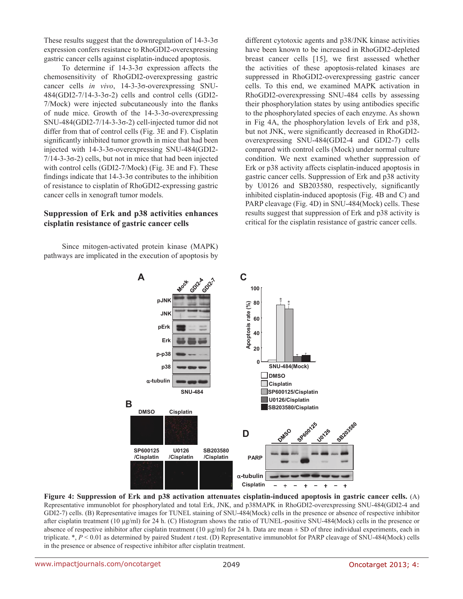These results suggest that the downregulation of  $14-3-3\sigma$ expression confers resistance to RhoGDI2-overexpressing gastric cancer cells against cisplatin-induced apoptosis.

To determine if 14-3-3σ expression affects the chemosensitivity of RhoGDI2-overexpressing gastric cancer cells *in vivo*, 14-3-3σ-overexpressing SNU-484(GDI2-7/14-3-3σ-2) cells and control cells (GDI2- 7/Mock) were injected subcutaneously into the flanks of nude mice. Growth of the 14-3-3σ-overexpressing SNU-484(GDI2-7/14-3-3σ-2) cell-injected tumor did not differ from that of control cells (Fig. 3E and F). Cisplatin significantly inhibited tumor growth in mice that had been injected with 14-3-3σ-overexpressing SNU-484(GDI2-  $7/14-3-3\sigma-2$ ) cells, but not in mice that had been injected with control cells (GDI2-7/Mock) (Fig. 3E and F). These findings indicate that  $14-3-3\sigma$  contributes to the inhibition of resistance to cisplatin of RhoGDI2-expressing gastric cancer cells in xenograft tumor models.

#### **Suppression of Erk and p38 activities enhances cisplatin resistance of gastric cancer cells**

Since mitogen-activated protein kinase (MAPK) pathways are implicated in the execution of apoptosis by different cytotoxic agents and p38/JNK kinase activities have been known to be increased in RhoGDI2-depleted breast cancer cells [15], we first assessed whether the activities of these apoptosis-related kinases are suppressed in RhoGDI2-overexpressing gastric cancer cells. To this end, we examined MAPK activation in RhoGDI2-overexpressing SNU-484 cells by assessing their phosphorylation states by using antibodies specific to the phosphorylated species of each enzyme. As shown in Fig 4A, the phosphorylation levels of Erk and p38, but not JNK, were significantly decreased in RhoGDI2 overexpressing SNU-484(GDI2-4 and GDI2-7) cells compared with control cells (Mock) under normal culture condition. We next examined whether suppression of Erk or p38 activity affects cisplatin-induced apoptosis in gastric cancer cells. Suppression of Erk and p38 activity by U0126 and SB203580, respectively, significantly inhibited cisplatin-induced apoptosis (Fig. 4B and C) and PARP cleavage (Fig. 4D) in SNU-484(Mock) cells. These results suggest that suppression of Erk and p38 activity is critical for the cisplatin resistance of gastric cancer cells.

![](_page_4_Figure_5.jpeg)

**Figure 4: Suppression of Erk and p38 activation attenuates cisplatin-induced apoptosis in gastric cancer cells.** (A) Representative immunoblot for phosphorylated and total Erk, JNK, and p38MAPK in RhoGDI2-overexpressing SNU-484(GDI2-4 and GDI2-7) cells. (B) Representative images for TUNEL staining of SNU-484(Mock) cells in the presence or absence of respective inhibitor after cisplatin treatment (10 µg/ml) for 24 h. (C) Histogram shows the ratio of TUNEL-positive SNU-484(Mock) cells in the presence or absence of respective inhibitor after cisplatin treatment (10  $\mu$ g/ml) for 24 h. Data are mean  $\pm$  SD of three individual experiments, each in triplicate. \*, *P* < 0.01 as determined by paired Student *t* test. (D) Representative immunoblot for PARP cleavage of SNU-484(Mock) cells in the presence or absence of respective inhibitor after cisplatin treatment.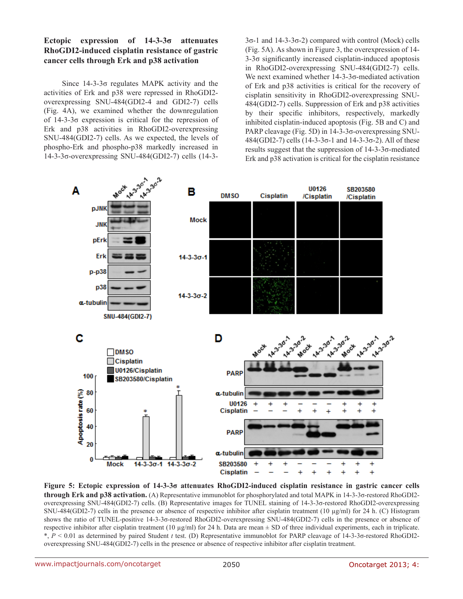## **Ectopic expression of 14-3-3σ attenuates RhoGDI2-induced cisplatin resistance of gastric cancer cells through Erk and p38 activation**

Since 14-3-3σ regulates MAPK activity and the activities of Erk and p38 were repressed in RhoGDI2 overexpressing SNU-484(GDI2-4 and GDI2-7) cells (Fig. 4A), we examined whether the downregulation of 14-3-3σ expression is critical for the repression of Erk and p38 activities in RhoGDI2-overexpressing SNU-484(GDI2-7) cells. As we expected, the levels of phospho-Erk and phospho-p38 markedly increased in 14-3-3σ-overexpressing SNU-484(GDI2-7) cells (14-33σ-1 and 14-3-3σ-2) compared with control (Mock) cells (Fig. 5A). As shown in Figure 3, the overexpression of 14- 3-3σ significantly increased cisplatin-induced apoptosis in RhoGDI2-overexpressing SNU-484(GDI2-7) cells. We next examined whether 14-3-3σ-mediated activation of Erk and p38 activities is critical for the recovery of cisplatin sensitivity in RhoGDI2-overexpressing SNU-484(GDI2-7) cells. Suppression of Erk and p38 activities by their specific inhibitors, respectively, markedly inhibited cisplatin-induced apoptosis (Fig. 5B and C) and PARP cleavage (Fig. 5D) in 14-3-3σ-overexpressing SNU-484(GDI2-7) cells (14-3-3σ-1 and 14-3-3σ-2). All of these results suggest that the suppression of 14-3-3σ-mediated Erk and p38 activation is critical for the cisplatin resistance

![](_page_5_Figure_3.jpeg)

**Figure 5: Ectopic expression of 14-3-3σ attenuates RhoGDI2-induced cisplatin resistance in gastric cancer cells through Erk and p38 activation.** (A) Representative immunoblot for phosphorylated and total MAPK in 14-3-3σ-restored RhoGDI2 overexpressing SNU-484(GDI2-7) cells. (B) Representative images for TUNEL staining of 14-3-3σ-restored RhoGDI2-overexpressing SNU-484(GDI2-7) cells in the presence or absence of respective inhibitor after cisplatin treatment (10 µg/ml) for 24 h. (C) Histogram shows the ratio of TUNEL-positive 14-3-3σ-restored RhoGDI2-overexpressing SNU-484(GDI2-7) cells in the presence or absence of respective inhibitor after cisplatin treatment (10  $\mu$ g/ml) for 24 h. Data are mean  $\pm$  SD of three individual experiments, each in triplicate. \*, *P* < 0.01 as determined by paired Student *t* test. (D) Representative immunoblot for PARP cleavage of 14-3-3σ-restored RhoGDI2 overexpressing SNU-484(GDI2-7) cells in the presence or absence of respective inhibitor after cisplatin treatment.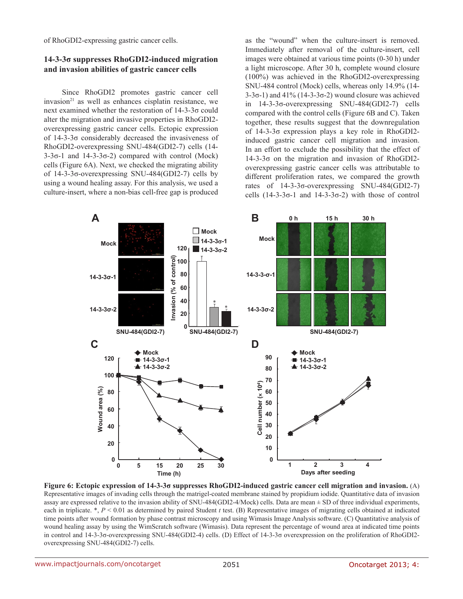of RhoGDI2-expressing gastric cancer cells.

#### **14-3-3σ suppresses RhoGDI2-induced migration and invasion abilities of gastric cancer cells**

Since RhoGDI2 promotes gastric cancer cell  $invasion<sup>21</sup>$  as well as enhances cisplatin resistance, we next examined whether the restoration of 14-3-3σ could alter the migration and invasive properties in RhoGDI2 overexpressing gastric cancer cells. Ectopic expression of 14-3-3σ considerably decreased the invasiveness of RhoGDI2-overexpressing SNU-484(GDI2-7) cells (14-  $3-3\sigma-1$  and  $14-3-3\sigma-2$ ) compared with control (Mock) cells (Figure 6A). Next, we checked the migrating ability of 14-3-3σ-overexpressing SNU-484(GDI2-7) cells by using a wound healing assay. For this analysis, we used a culture-insert, where a non-bias cell-free gap is produced

as the "wound" when the culture-insert is removed. Immediately after removal of the culture-insert, cell images were obtained at various time points (0-30 h) under a light microscope. After 30 h, complete wound closure (100%) was achieved in the RhoGDI2-overexpressing SNU-484 control (Mock) cells, whereas only 14.9% (14- 3-3σ-1) and  $41\%$  (14-3-3σ-2) wound closure was achieved in 14-3-3σ-overexpressing SNU-484(GDI2-7) cells compared with the control cells (Figure 6B and C). Taken together, these results suggest that the downregulation of 14-3-3σ expression plays a key role in RhoGDI2 induced gastric cancer cell migration and invasion. In an effort to exclude the possibility that the effect of 14-3-3σ on the migration and invasion of RhoGDI2 overexpressing gastric cancer cells was attributable to different proliferation rates, we compared the growth rates of 14-3-3σ-overexpressing SNU-484(GDI2-7) cells (14-3-3σ-1 and 14-3-3σ-2) with those of control

![](_page_6_Figure_4.jpeg)

**Figure 6: Ectopic expression of 14-3-3σ suppresses RhoGDI2-induced gastric cancer cell migration and invasion.** (A) Representative images of invading cells through the matrigel-coated membrane stained by propidium iodide. Quantitative data of invasion assay are expressed relative to the invasion ability of SNU-484(GDI2-4/Mock) cells. Data are mean ± SD of three individual experiments, each in triplicate. \*, *P* < 0.01 as determined by paired Student *t* test. (B) Representative images of migrating cells obtained at indicated time points after wound formation by phase contrast microscopy and using Wimasis Image Analysis software. (C) Quantitative analysis of wound healing assay by using the WimScratch software (Wimasis). Data represent the percentage of wound area at indicated time points in control and 14-3-3σ-overexpressing SNU-484(GDI2-4) cells. (D) Effect of 14-3-3σ overexpression on the proliferation of RhoGDI2 overexpressing SNU-484(GDI2-7) cells.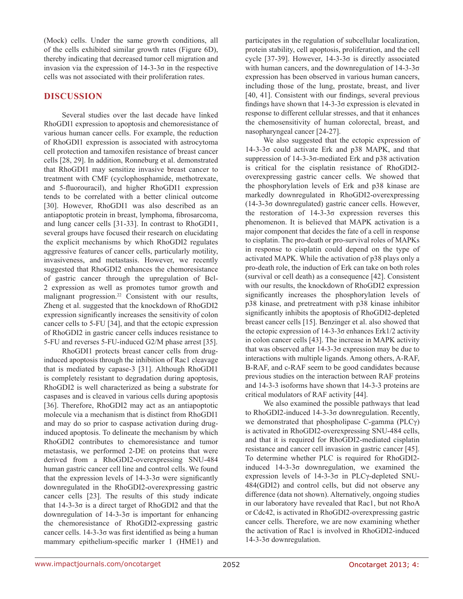(Mock) cells. Under the same growth conditions, all of the cells exhibited similar growth rates (Figure 6D), thereby indicating that decreased tumor cell migration and invasion via the expression of  $14-3-3\sigma$  in the respective cells was not associated with their proliferation rates.

## **DISCUSSION**

Several studies over the last decade have linked RhoGDI1 expression to apoptosis and chemoresistance of various human cancer cells. For example, the reduction of RhoGDI1 expression is associated with astrocytoma cell protection and tamoxifen resistance of breast cancer cells [28, 29]. In addition, Ronneburg et al. demonstrated that RhoGDI1 may sensitize invasive breast cancer to treatment with CMF (cyclophosphamide, methotrexate, and 5-fluorouracil), and higher RhoGDI1 expression tends to be correlated with a better clinical outcome [30]. However, RhoGDI1 was also described as an antiapoptotic protein in breast, lymphoma, fibrosarcoma, and lung cancer cells [31-33]. In contrast to RhoGDI1, several groups have focused their research on elucidating the explicit mechanisms by which RhoGDI2 regulates aggressive features of cancer cells, particularly motility, invasiveness, and metastasis. However, we recently suggested that RhoGDI2 enhances the chemoresistance of gastric cancer through the upregulation of Bcl-2 expression as well as promotes tumor growth and malignant progression.<sup>22</sup> Consistent with our results, Zheng et al. suggested that the knockdown of RhoGDI2 expression significantly increases the sensitivity of colon cancer cells to 5-FU [34], and that the ectopic expression of RhoGDI2 in gastric cancer cells induces resistance to 5-FU and reverses 5-FU-induced G2/M phase arrest [35].

RhoGDI1 protects breast cancer cells from druginduced apoptosis through the inhibition of Rac1 cleavage that is mediated by capase-3 [31]. Although RhoGDI1 is completely resistant to degradation during apoptosis, RhoGDI2 is well characterized as being a substrate for caspases and is cleaved in various cells during apoptosis [36]. Therefore, RhoGDI2 may act as an antiapoptotic molecule via a mechanism that is distinct from RhoGDI1 and may do so prior to caspase activation during druginduced apoptosis. To delineate the mechanism by which RhoGDI2 contributes to chemoresistance and tumor metastasis, we performed 2-DE on proteins that were derived from a RhoGDI2-overexpressing SNU-484 human gastric cancer cell line and control cells. We found that the expression levels of  $14-3-3\sigma$  were significantly downregulated in the RhoGDI2-overexpressing gastric cancer cells [23]. The results of this study indicate that  $14-3-3\sigma$  is a direct target of RhoGDI2 and that the downregulation of  $14-3-3\sigma$  is important for enhancing the chemoresistance of RhoGDI2-expressing gastric cancer cells. 14-3-3σ was first identified as being a human mammary epithelium-specific marker 1 (HME1) and

www.impactjournals.com/oncotarget 2013; 4:

participates in the regulation of subcellular localization, protein stability, cell apoptosis, proliferation, and the cell cycle [37-39]. However,  $14-3-3\sigma$  is directly associated with human cancers, and the downregulation of  $14-3-3\sigma$ expression has been observed in various human cancers, including those of the lung, prostate, breast, and liver [40, 41]. Consistent with our findings, several previous findings have shown that 14-3-3σ expression is elevated in response to different cellular stresses, and that it enhances the chemosensitivity of human colorectal, breast, and nasopharyngeal cancer [24-27].

We also suggested that the ectopic expression of  $14-3-3\sigma$  could activate Erk and p38 MAPK, and that suppression of 14-3-3σ-mediated Erk and p38 activation is critical for the cisplatin resistance of RhoGDI2 overexpressing gastric cancer cells. We showed that the phosphorylation levels of Erk and p38 kinase are markedly downregulated in RhoGDI2-overexpressing (14-3-3σ downregulated) gastric cancer cells. However, the restoration of  $14-3-3\sigma$  expression reverses this phenomenon. It is believed that MAPK activation is a major component that decides the fate of a cell in response to cisplatin. The pro-death or pro-survival roles of MAPKs in response to cisplatin could depend on the type of activated MAPK. While the activation of p38 plays only a pro-death role, the induction of Erk can take on both roles (survival or cell death) as a consequence [42]. Consistent with our results, the knockdown of RhoGDI2 expression significantly increases the phosphorylation levels of p38 kinase, and pretreatment with p38 kinase inhibitor significantly inhibits the apoptosis of RhoGDI2-depleted breast cancer cells [15]. Benzinger et al. also showed that the ectopic expression of  $14-3-3\sigma$  enhances Erk1/2 activity in colon cancer cells [43]. The increase in MAPK activity that was observed after  $14-3-3\sigma$  expression may be due to interactions with multiple ligands. Among others, A-RAF, B-RAF, and c-RAF seem to be good candidates because previous studies on the interaction between RAF proteins and 14-3-3 isoforms have shown that 14-3-3 proteins are critical modulators of RAF activity [44].

We also examined the possible pathways that lead to RhoGDI2-induced  $14-3-3\sigma$  downregulation. Recently, we demonstrated that phospholipase C-gamma (PLCγ) is activated in RhoGDI2-overexpressing SNU-484 cells, and that it is required for RhoGDI2-mediated cisplatin resistance and cancer cell invasion in gastric cancer [45]. To determine whether PLC is required for RhoGDI2 induced  $14-3-3\sigma$  downregulation, we examined the expression levels of  $14-3-3σ$  in PLCγ-depleted SNU-484(GDI2) and control cells, but did not observe any difference (data not shown). Alternatively, ongoing studies in our laboratory have revealed that Rac1, but not RhoA or Cdc42, is activated in RhoGDI2-overexpressing gastric cancer cells. Therefore, we are now examining whether the activation of Rac1 is involved in RhoGDI2-induced 14-3-3σ downregulation.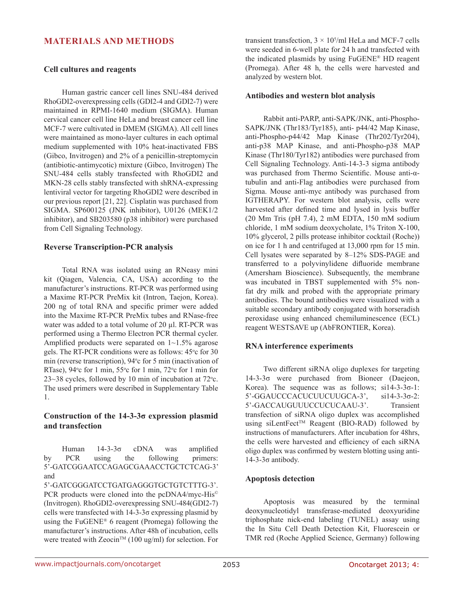## **MATERIALS AND METHODS**

#### **Cell cultures and reagents**

Human gastric cancer cell lines SNU-484 derived RhoGDI2-overexpressing cells (GDI2-4 and GDI2-7) were maintained in RPMI-1640 medium (SIGMA). Human cervical cancer cell line HeLa and breast cancer cell line MCF-7 were cultivated in DMEM (SIGMA). All cell lines were maintained as mono-layer cultures in each optimal medium supplemented with 10% heat-inactivated FBS (Gibco, Invitrogen) and 2% of a penicillin-streptomycin (antibiotic-antimycotic) mixture (Gibco, Invitrogen) The SNU-484 cells stably transfected with RhoGDI2 and MKN-28 cells stably transfected with shRNA-expressing lentiviral vector for targeting RhoGDI2 were described in our previous report [21, 22]. Cisplatin was purchased from SIGMA. SP600125 (JNK inhibitor), U0126 (MEK1/2 inhibitor), and SB203580 (p38 inhibitor) were purchased from Cell Signaling Technology.

#### **Reverse Transcription-PCR analysis**

Total RNA was isolated using an RNeasy mini kit (Qiagen, Valencia, CA, USA) according to the manufacturer's instructions. RT-PCR was performed using a Maxime RT-PCR PreMix kit (Intron, Taejon, Korea). 200 ng of total RNA and specific primer were added into the Maxime RT-PCR PreMix tubes and RNase-free water was added to a total volume of 20 µl. RT-PCR was performed using a Thermo Electron PCR thermal cycler. Amplified products were separated on  $1 \sim 1.5\%$  agarose gels. The RT-PCR conditions were as follows: 45°c for 30 min (reverse transcription), 94° c for 5 min (inactivation of RTase), 94° c for 1 min, 55° c for 1 min, 72° c for 1 min for  $23 \sim 38$  cycles, followed by 10 min of incubation at 72 $\degree$ c. The used primers were described in Supplementary Table 1.

### **Construction of the 14-3-3σ expression plasmid and transfection**

Human 14-3-3σ cDNA was amplified by PCR using the following primers: 5'-GATCGGAATCCAGAGCGAAACCTGCTCTCAG-3' and

5'-GATCGGGATCCTGATGAGGGTGCTGTCTTTG-3'. PCR products were cloned into the pcDNA4/myc-His© (Invitrogen). RhoGDI2-overexpressing SNU-484(GDI2-7) cells were transfected with 14-3-3σ expressing plasmid by using the FuGENE® 6 reagent (Promega) following the manufacturer's instructions. After 48h of incubation, cells were treated with Zeocin<sup>™</sup> (100 ug/ml) for selection. For

transient transfection,  $3 \times 10^5$ /ml HeLa and MCF-7 cells were seeded in 6-well plate for 24 h and transfected with the indicated plasmids by using FuGENE® HD reagent (Promega). After 48 h, the cells were harvested and analyzed by western blot.

#### **Antibodies and western blot analysis**

Rabbit anti-PARP, anti-SAPK/JNK, anti-Phospho-SAPK/JNK (Thr183/Tyr185), anti- p44/42 Map Kinase, anti-Phospho-p44/42 Map Kinase (Thr202/Tyr204), anti-p38 MAP Kinase, and anti-Phospho-p38 MAP Kinase (Thr180/Tyr182) antibodies were purchased from Cell Signaling Technology. Anti-14-3-3 sigma antibody was purchased from Thermo Scientific. Mouse anti-αtubulin and anti-Flag antibodies were purchased from Sigma. Mouse anti-myc antibody was purchased from IGTHERAPY. For western blot analysis, cells were harvested after defined time and lysed in lysis buffer (20 Mm Tris (pH 7.4), 2 mM EDTA, 150 mM sodium chloride, 1 mM sodium deoxycholate, 1% Triton X-100, 10% glycerol, 2 pills protease inhibitor cocktail (Roche)) on ice for 1 h and centrifuged at 13,000 rpm for 15 min. Cell lysates were separated by 8–12% SDS-PAGE and transferred to a polyvinylidene difluoride membrane (Amersham Bioscience). Subsequently, the membrane was incubated in TBST supplemented with 5% nonfat dry milk and probed with the appropriate primary antibodies. The bound antibodies were visualized with a suitable secondary antibody conjugated with horseradish peroxidase using enhanced chemiluminescence (ECL) reagent WESTSAVE up (AbFRONTIER, Korea).

#### **RNA interference experiments**

Two different siRNA oligo duplexes for targeting 14-3-3σ were purchased from Bioneer (Daejeon, Korea). The sequence was as follows;  $si14-3-3\sigma-1$ : 5'-GGAUCCCACUCUUCUUGCA-3', si14-3-3σ-2: 5'-GACCAUGUUUCCUCUCAAU-3'. Transient transfection of siRNA oligo duplex was accomplished using siLentFect™ Reagent (BIO-RAD) followed by instructions of manufacturers. After incubation for 48hrs, the cells were harvested and efficiency of each siRNA oligo duplex was confirmed by western blotting using anti-14-3-3σ antibody.

#### **Apoptosis detection**

Apoptosis was measured by the terminal deoxynucleotidyl transferase-mediated deoxyuridine triphosphate nick-end labeling (TUNEL) assay using the In Situ Cell Death Detection Kit, Fluorescein or TMR red (Roche Applied Science, Germany) following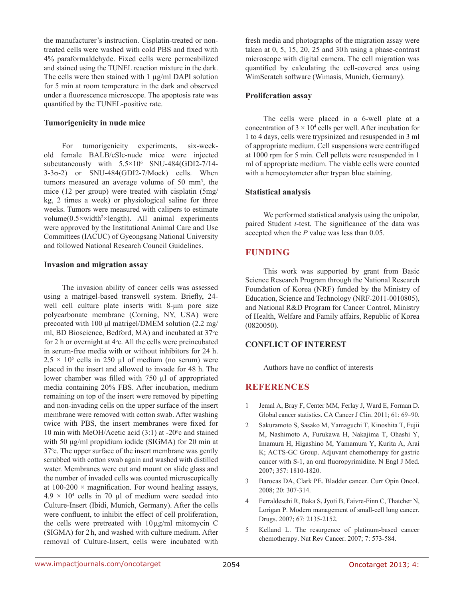the manufacturer's instruction. Cisplatin-treated or nontreated cells were washed with cold PBS and fixed with 4% paraformaldehyde. Fixed cells were permeabilized and stained using the TUNEL reaction mixture in the dark. The cells were then stained with 1  $\mu$ g/ml DAPI solution for 5 min at room temperature in the dark and observed under a fluorescence microscope. The apoptosis rate was quantified by the TUNEL-positive rate.

#### **Tumorigenicity in nude mice**

For tumorigenicity experiments, six-weekold female BALB/cSlc-nude mice were injected subcutaneously with  $5.5 \times 10^6$  SNU-484(GDI2-7/14-3-3σ-2) or SNU-484(GDI2-7/Mock) cells. When tumors measured an average volume of 50 mm<sup>3</sup>, the mice (12 per group) were treated with cisplatin (5mg/ kg, 2 times a week) or physiological saline for three weeks. Tumors were measured with calipers to estimate volume $(0.5 \times width^2 \times length)$ . All animal experiments were approved by the Institutional Animal Care and Use Committees (IACUC) of Gyeongsang National University and followed National Research Council Guidelines.

#### **Invasion and migration assay**

The invasion ability of cancer cells was assessed using a matrigel-based transwell system. Briefly, 24 well cell culture plate inserts with 8-μm pore size polycarbonate membrane (Corning, NY, USA) were precoated with 100 μl matrigel/DMEM solution (2.2 mg/ ml, BD Bioscience, Bedford, MA) and incubated at 37°c for 2 h or overnight at  $4^\circ$ c. All the cells were preincubated in serum-free media with or without inhibitors for 24 h.  $2.5 \times 10^5$  cells in 250 µl of medium (no serum) were placed in the insert and allowed to invade for 48 h. The lower chamber was filled with 750 µl of appropriated media containing 20% FBS. After incubation, medium remaining on top of the insert were removed by pipetting and non-invading cells on the upper surface of the insert membrane were removed with cotton swab. After washing twice with PBS, the insert membranes were fixed for 10 min with MeOH/Acetic acid  $(3:1)$  at -20 $^{\circ}$ c and stained with 50  $\mu$ g/ml propidium iodide (SIGMA) for 20 min at 37o c. The upper surface of the insert membrane was gently scrubbed with cotton swab again and washed with distilled water. Membranes were cut and mount on slide glass and the number of invaded cells was counted microscopically at  $100-200 \times$  magnification. For wound healing assays,  $4.9 \times 10^4$  cells in 70 µl of medium were seeded into Culture-Insert (Ibidi, Munich, Germany). After the cells were confluent, to inhibit the effect of cell proliferation, the cells were pretreated with 10µg/ml mitomycin C (SIGMA) for 2 h, and washed with culture medium. After removal of Culture-Insert, cells were incubated with

fresh media and photographs of the migration assay were taken at 0, 5, 15, 20, 25 and 30h using a phase-contrast microscope with digital camera. The cell migration was quantified by calculating the cell-covered area using WimScratch software (Wimasis, Munich, Germany).

#### **Proliferation assay**

The cells were placed in a 6-well plate at a concentration of  $3 \times 10^4$  cells per well. After incubation for 1 to 4 days, cells were trypsinized and resuspended in 3 ml of appropriate medium. Cell suspensions were centrifuged at 1000 rpm for 5 min. Cell pellets were resuspended in 1 ml of appropriate medium. The viable cells were counted with a hemocytometer after trypan blue staining.

#### **Statistical analysis**

We performed statistical analysis using the unipolar, paired Student *t*-test. The significance of the data was accepted when the *P* value was less than 0.05.

## **FUNDING**

This work was supported by grant from Basic Science Research Program through the National Research Foundation of Korea (NRF) funded by the Ministry of Education, Science and Technology (NRF-2011-0010805), and National R&D Program for Cancer Control, Ministry of Health, Welfare and Family affairs, Republic of Korea (0820050).

#### **CONFLICT OF INTEREST**

Authors have no conflict of interests

## **REFERENCES**

- 1 Jemal A, Bray F, Center MM, Ferlay J, Ward E, Forman D. Global cancer statistics. CA Cancer J Clin. 2011; 61: 69–90.
- 2 Sakuramoto S, Sasako M, Yamaguchi T, Kinoshita T, Fujii M, Nashimoto A, Furukawa H, Nakajima T, Ohashi Y, Imamura H, Higashino M, Yamamura Y, Kurita A, Arai K; ACTS-GC Group. Adjuvant chemotherapy for gastric cancer with S-1, an oral fluoropyrimidine. N Engl J Med. 2007; 357: 1810-1820.
- 3 Barocas DA, Clark PE. Bladder cancer. Curr Opin Oncol. 2008; 20: 307-314.
- 4 Ferraldeschi R, Baka S, Jyoti B, Faivre-Finn C, Thatcher N, Lorigan P. Modern management of small-cell lung cancer. Drugs. 2007; 67: 2135-2152.
- 5 Kelland L. The resurgence of platinum-based cancer chemotherapy. Nat Rev Cancer. 2007; 7: 573-584.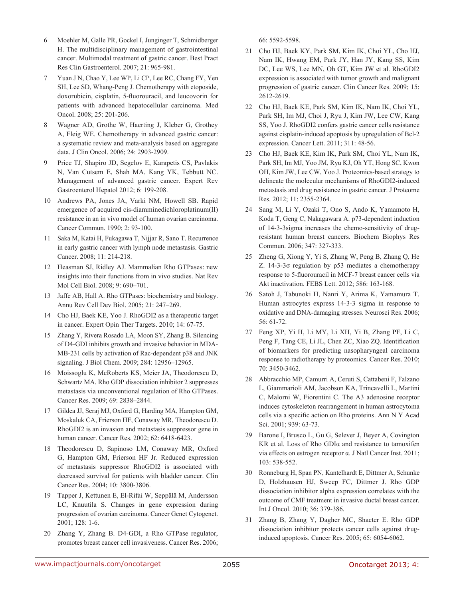- 6 Moehler M, Galle PR, Gockel I, Junginger T, Schmidberger H. The multidisciplinary management of gastrointestinal cancer. Multimodal treatment of gastric cancer. Best Pract Res Clin Gastroenterol. 2007; 21: 965-981.
- 7 Yuan J N, Chao Y, Lee WP, Li CP, Lee RC, Chang FY, Yen SH, Lee SD, Whang-Peng J. Chemotherapy with etoposide, doxorubicin, cisplatin, 5-fluorouracil, and leucovorin for patients with advanced hepatocellular carcinoma. Med Oncol. 2008; 25: 201-206.
- 8 Wagner AD, Grothe W, Haerting J, Kleber G, Grothey A, Fleig WE. Chemotherapy in advanced gastric cancer: a systematic review and meta-analysis based on aggregate data. J Clin Oncol. 2006; 24: 2903-2909.
- 9 Price TJ, Shapiro JD, Segelov E, Karapetis CS, Pavlakis N, Van Cutsem E, Shah MA, Kang YK, Tebbutt NC. Management of advanced gastric cancer. Expert Rev Gastroenterol Hepatol 2012; 6: 199-208.
- 10 Andrews PA, Jones JA, Varki NM, Howell SB. Rapid emergence of acquired cis-diamminedichloroplatinum(II) resistance in an in vivo model of human ovarian carcinoma. Cancer Commun. 1990; 2: 93-100.
- 11 Saka M, Katai H, Fukagawa T, Nijjar R, Sano T. Recurrence in early gastric cancer with lymph node metastasis. Gastric Cancer. 2008; 11: 214-218.
- 12 Heasman SJ, Ridley AJ. Mammalian Rho GTPases: new insights into their functions from in vivo studies. Nat Rev Mol Cell Biol. 2008; 9: 690–701.
- 13 Jaffe AB, Hall A. Rho GTPases: biochemistry and biology. Annu Rev Cell Dev Biol. 2005; 21: 247–269.
- 14 Cho HJ, Baek KE, Yoo J. RhoGDI2 as a therapeutic target in cancer. Expert Opin Ther Targets. 2010; 14: 67-75.
- 15 Zhang Y, Rivera Rosado LA, Moon SY, Zhang B. Silencing of D4-GDI inhibits growth and invasive behavior in MDA-MB-231 cells by activation of Rac-dependent p38 and JNK signaling. J Biol Chem. 2009; 284: 12956–12965.
- 16 Moissoglu K, McRoberts KS, Meier JA, Theodorescu D, Schwartz MA. Rho GDP dissociation inhibitor 2 suppresses metastasis via unconventional regulation of Rho GTPases. Cancer Res. 2009; 69: 2838–2844.
- 17 Gildea JJ, Seraj MJ, Oxford G, Harding MA, Hampton GM, Moskaluk CA, Frierson HF, Conaway MR, Theodorescu D. RhoGDI2 is an invasion and metastasis suppressor gene in human cancer. Cancer Res. 2002; 62: 6418-6423.
- 18 Theodorescu D, Sapinoso LM, Conaway MR, Oxford G, Hampton GM, Frierson HF Jr. Reduced expression of metastasis suppressor RhoGDI2 is associated with decreased survival for patients with bladder cancer. Clin Cancer Res. 2004; 10: 3800-3806.
- 19 Tapper J, Kettunen E, El-Rifai W, Seppälä M, Andersson LC, Knuutila S. Changes in gene expression during progression of ovarian carcinoma. Cancer Genet Cytogenet. 2001; 128: 1-6.
- 20 Zhang Y, Zhang B. D4-GDI, a Rho GTPase regulator, promotes breast cancer cell invasiveness. Cancer Res. 2006;

66: 5592-5598.

- 21 Cho HJ, Baek KY, Park SM, Kim IK, Choi YL, Cho HJ, Nam IK, Hwang EM, Park JY, Han JY, Kang SS, Kim DC, Lee WS, Lee MN, Oh GT, Kim JW et al. RhoGDI2 expression is associated with tumor growth and malignant progression of gastric cancer. Clin Cancer Res. 2009; 15: 2612-2619.
- 22 Cho HJ, Baek KE, Park SM, Kim IK, Nam IK, Choi YL, Park SH, Im MJ, Choi J, Ryu J, Kim JW, Lee CW, Kang SS, Yoo J. RhoGDI2 confers gastric cancer cells resistance against cisplatin-induced apoptosis by upregulation of Bcl-2 expression. Cancer Lett. 2011; 311: 48-56.
- 23 Cho HJ, Baek KE, Kim IK, Park SM, Choi YL, Nam IK, Park SH, Im MJ, Yoo JM, Ryu KJ, Oh YT, Hong SC, Kwon OH, Kim JW, Lee CW, Yoo J. Proteomics-based strategy to delineate the molecular mechanisms of RhoGDI2-induced metastasis and drug resistance in gastric cancer. J Proteome Res. 2012; 11: 2355-2364.
- 24 Sang M, Li Y, Ozaki T, Ono S, Ando K, Yamamoto H, Koda T, Geng C, Nakagawara A. p73-dependent induction of 14-3-3sigma increases the chemo-sensitivity of drugresistant human breast cancers. Biochem Biophys Res Commun. 2006; 347: 327-333.
- 25 Zheng G, Xiong Y, Yi S, Zhang W, Peng B, Zhang Q, He Z. 14-3-3σ regulation by p53 mediates a chemotherapy response to 5-fluorouracil in MCF-7 breast cancer cells via Akt inactivation. FEBS Lett. 2012; 586: 163-168.
- 26 Satoh J, Tabunoki H, Nanri Y, Arima K, Yamamura T. Human astrocytes express 14-3-3 sigma in response to oxidative and DNA-damaging stresses. Neurosci Res. 2006; 56: 61-72.
- 27 Feng XP, Yi H, Li MY, Li XH, Yi B, Zhang PF, Li C, Peng F, Tang CE, Li JL, Chen ZC, Xiao ZQ. Identification of biomarkers for predicting nasopharyngeal carcinoma response to radiotherapy by proteomics. Cancer Res. 2010; 70: 3450-3462.
- 28 Abbracchio MP, Camurri A, Ceruti S, Cattabeni F, Falzano L, Giammarioli AM, Jacobson KA, Trincavelli L, Martini C, Malorni W, Fiorentini C. The A3 adenosine receptor induces cytoskeleton rearrangement in human astrocytoma cells via a specific action on Rho proteins. Ann N Y Acad Sci. 2001; 939: 63-73.
- 29 Barone I, Brusco L, Gu G, Selever J, Beyer A, Covington KR et al. Loss of Rho GDIα and resistance to tamoxifen via effects on estrogen receptor α. J Natl Cancer Inst. 2011; 103: 538-552.
- 30 Ronneburg H, Span PN, Kantelhardt E, Dittmer A, Schunke D, Holzhausen HJ, Sweep FC, Dittmer J. Rho GDP dissociation inhibitor alpha expression correlates with the outcome of CMF treatment in invasive ductal breast cancer. Int J Oncol. 2010; 36: 379-386.
- 31 Zhang B, Zhang Y, Dagher MC, Shacter E. Rho GDP dissociation inhibitor protects cancer cells against druginduced apoptosis. Cancer Res. 2005; 65: 6054-6062.